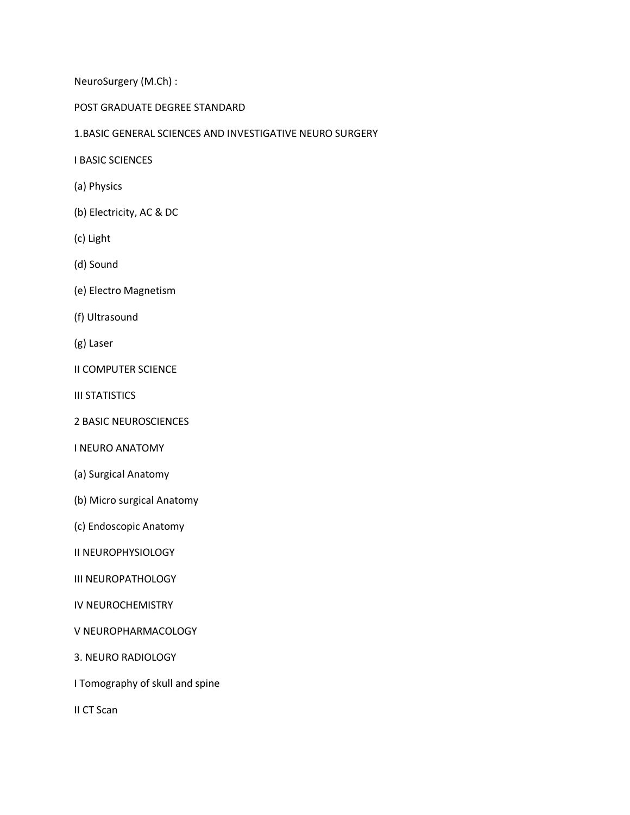NeuroSurgery (M.Ch) :

## POST GRADUATE DEGREE STANDARD

## 1.BASIC GENERAL SCIENCES AND INVESTIGATIVE NEURO SURGERY

I BASIC SCIENCES

- (a) Physics
- (b) Electricity, AC & DC
- (c) Light
- (d) Sound
- (e) Electro Magnetism
- (f) Ultrasound
- (g) Laser
- II COMPUTER SCIENCE
- III STATISTICS
- 2 BASIC NEUROSCIENCES
- I NEURO ANATOMY
- (a) Surgical Anatomy
- (b) Micro surgical Anatomy
- (c) Endoscopic Anatomy
- II NEUROPHYSIOLOGY
- III NEUROPATHOLOGY
- IV NEUROCHEMISTRY
- V NEUROPHARMACOLOGY
- 3. NEURO RADIOLOGY
- I Tomography of skull and spine
- II CT Scan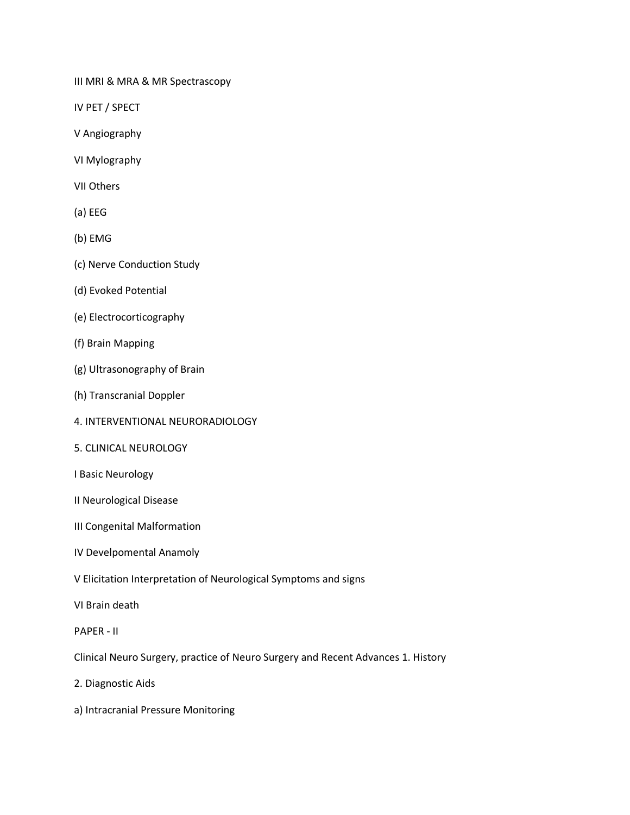III MRI & MRA & MR Spectrascopy

IV PET / SPECT

- V Angiography
- VI Mylography
- VII Others
- (a) EEG
- (b) EMG
- (c) Nerve Conduction Study
- (d) Evoked Potential
- (e) Electrocorticography
- (f) Brain Mapping
- (g) Ultrasonography of Brain
- (h) Transcranial Doppler
- 4. INTERVENTIONAL NEURORADIOLOGY
- 5. CLINICAL NEUROLOGY
- I Basic Neurology
- II Neurological Disease
- III Congenital Malformation
- IV Develpomental Anamoly
- V Elicitation Interpretation of Neurological Symptoms and signs
- VI Brain death
- PAPER II

Clinical Neuro Surgery, practice of Neuro Surgery and Recent Advances 1. History

- 2. Diagnostic Aids
- a) Intracranial Pressure Monitoring